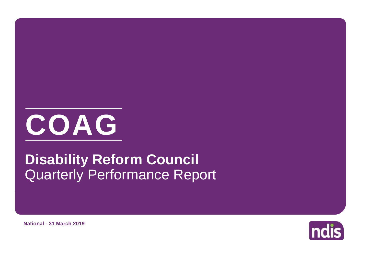

# Quarterly Performance Report **Disability Reform Council**



**National - 31 March 2019**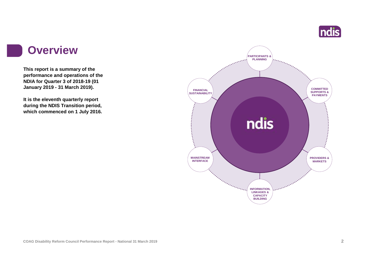

#### **Overview**

**This report is a summary of the performance and operations of the NDIA for Quarter 3 of 2018-19 (01 January 2019 - 31 March 2019).**

**It is the eleventh quarterly report during the NDIS Transition period, which commenced on 1 July 2016.** 

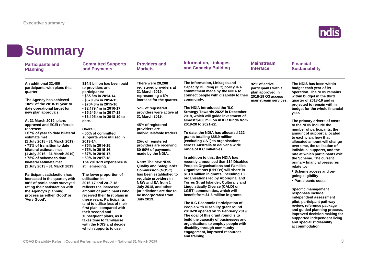

| <b>Summary</b>                                                                                                                                                                                                                                                                                                                                                                                                                                                                                                                                                                                                                                                                                                                                  |                                                                                                                                                                                                                                                                                                                                                                                                                                                                                                                                                                                                                                                                                                                                                                                                                                                                          |                                                                                                                                                                                                                                                                                                                                                                                                                                                                                                                                                                                                                       |                                                                                                                                                                                                                                                                                                                                                                                                                                                                                                                                                                                                                                                                                                                                                                                                                                                                                                                                                                                                                                                                                                                                                                                                                                                                         |                                                                                                       |                                                                                                                                                                                                                                                                                                                                                                                                                                                                                                                                                                                                                                                                                                                                                                                                                                                                                                                                                       |  |
|-------------------------------------------------------------------------------------------------------------------------------------------------------------------------------------------------------------------------------------------------------------------------------------------------------------------------------------------------------------------------------------------------------------------------------------------------------------------------------------------------------------------------------------------------------------------------------------------------------------------------------------------------------------------------------------------------------------------------------------------------|--------------------------------------------------------------------------------------------------------------------------------------------------------------------------------------------------------------------------------------------------------------------------------------------------------------------------------------------------------------------------------------------------------------------------------------------------------------------------------------------------------------------------------------------------------------------------------------------------------------------------------------------------------------------------------------------------------------------------------------------------------------------------------------------------------------------------------------------------------------------------|-----------------------------------------------------------------------------------------------------------------------------------------------------------------------------------------------------------------------------------------------------------------------------------------------------------------------------------------------------------------------------------------------------------------------------------------------------------------------------------------------------------------------------------------------------------------------------------------------------------------------|-------------------------------------------------------------------------------------------------------------------------------------------------------------------------------------------------------------------------------------------------------------------------------------------------------------------------------------------------------------------------------------------------------------------------------------------------------------------------------------------------------------------------------------------------------------------------------------------------------------------------------------------------------------------------------------------------------------------------------------------------------------------------------------------------------------------------------------------------------------------------------------------------------------------------------------------------------------------------------------------------------------------------------------------------------------------------------------------------------------------------------------------------------------------------------------------------------------------------------------------------------------------------|-------------------------------------------------------------------------------------------------------|-------------------------------------------------------------------------------------------------------------------------------------------------------------------------------------------------------------------------------------------------------------------------------------------------------------------------------------------------------------------------------------------------------------------------------------------------------------------------------------------------------------------------------------------------------------------------------------------------------------------------------------------------------------------------------------------------------------------------------------------------------------------------------------------------------------------------------------------------------------------------------------------------------------------------------------------------------|--|
| <b>Participants and</b><br><b>Planning</b>                                                                                                                                                                                                                                                                                                                                                                                                                                                                                                                                                                                                                                                                                                      | <b>Committed Supports</b><br>and Payments                                                                                                                                                                                                                                                                                                                                                                                                                                                                                                                                                                                                                                                                                                                                                                                                                                | <b>Providers and</b><br><b>Markets</b>                                                                                                                                                                                                                                                                                                                                                                                                                                                                                                                                                                                | <b>Information, Linkages</b><br>and Capacity Building                                                                                                                                                                                                                                                                                                                                                                                                                                                                                                                                                                                                                                                                                                                                                                                                                                                                                                                                                                                                                                                                                                                                                                                                                   | <b>Mainstream</b><br><b>Interface</b>                                                                 | <b>Financial</b><br><b>Sustainability</b>                                                                                                                                                                                                                                                                                                                                                                                                                                                                                                                                                                                                                                                                                                                                                                                                                                                                                                             |  |
| An additional 32,486<br>participants with plans this<br>quarter.<br>The Agency has achieved<br>102% of the 2018-19 year to<br>date operational target for<br>new plan approvals.<br>At 31 March 2019, plans<br>approved and ECEI referrals<br>represent:<br>• 67% of year to date bilateral<br>estimate met<br>(1 July 2018 - 31 March 2019)<br>• 73% of transition to date<br>bilateral estimate met<br>(1 July 2016 - 31 March 2019)<br>• 75% of scheme to date<br>bilateral estimate met<br>(1 July 2013 - 31 March 2019)<br><b>Participant satisfaction has</b><br>increased in the quarter, with<br>88% of participants surveyed<br>rating their satisfaction with<br>the Agency's planning<br>process as either 'Good' or<br>'Very Good'. | \$14.9 billion has been paid<br>to providers and<br>participants:<br>• \$85.8m in 2013-14,<br>• \$370.9m in 2014-15,<br>• \$704.0m in 2015-16,<br>$\cdot$ \$2,179.1m in 2016-17,<br>$\cdot$ \$5,345.4m in 2017-18,<br>• \$6,195.4m in 2018-19 to<br>date.<br>Overall.<br>• 65% of committed<br>supports were utilised in<br>2013-14.<br>• 75% in 2014-15.<br>• 75% in 2015-16.<br>• 67% in 2016-17,<br>$\cdot$ 69% in 2017-18.<br>The 2018-19 experience is<br>still emerging.<br>The lower proportion of<br>utilisation in<br>2016-17 and 2017-18<br>reflects the increased<br>amount of participants who<br>received their first plans in<br>these years. Participants<br>tend to utilise less of their<br>first plan, compared with<br>their second and<br>subsequent plans, as it<br>takes time to familiarise<br>with the NDIS and decide<br>which supports to use. | There were 20,208<br>registered providers at<br>31 March 2019,<br>representing a 6%<br>increase for the quarter.<br>57% of registered<br>providers were active at<br>31 March 2019.<br>45% of registered<br>providers are<br>individuals/sole traders.<br>25% of registered<br>providers are receiving<br>80-90% of payments<br>made by the NDIA.<br><b>Note: The new NDIS</b><br><b>Quality and Safeguards</b><br><b>Commission (NQSC)</b><br>has been established to<br>regulate providers in<br>NSW and SA from 1<br>July 2018, and other<br>jurisdictions are due to<br>be incorporated from<br><b>July 2019.</b> | The Information, Linkages and<br>Capacity Building (ILC) policy is a<br>commitment made by the NDIA to<br>connect people with disability to their<br>community.<br>The NDIA introduced the 'ILC<br><b>Strategy Towards 2022' in December</b><br>2018, which will quide investment of<br>almost \$400 million in ILC funds from<br>2019-20 to 2021-22.<br>To date, the NDIA has allocated 222<br>grants totalling \$85.9 million<br>(excluding GST) to organisations<br>across Australia to deliver a wide<br>range of ILC initiatives.<br>In addition to this, the NDIA has<br>recently announced that 114 Disabled<br><b>Peoples Organisations and Families</b><br>Organisations (DPFOs) will share in<br>\$13.8 million in grants, including 13<br>organisations led by Aboriginal and<br>Torres Strait Islander, Culturally and<br><b>Linguistically Diverse (CALD) or</b><br><b>LGBTI communities, which will</b><br>benefit from \$1.6 million in grants.<br>The ILC Economic Participation of<br>People with Disability grant round<br>2019-20 opened on 15 February 2019.<br>The goal of this grant round is to<br>build the capacity of businesses and<br>organisations to employ people with<br>disability through community<br>engagement, improved resources | 92% of active<br>participants with a<br>plan approved in<br>2018-19 Q3 access<br>mainstream services. | The NDIS has been within<br>budget each year of its<br>operation. The NDIS remains<br>within budget in the third<br>quarter of 2018-19 and is<br>projected to remain within<br>budget for the whole financial<br>year.<br>The primary drivers of costs<br>to the NDIS include the<br>number of participants, the<br>amount of support allocated<br>to each plan, how that<br>allocated amount will change<br>over time, the utilisation of<br>individual supports, and the<br>rate at which participants exit<br>the Scheme. The current<br>primary financial pressures<br>relate to:<br>• Scheme access and on-<br>going eligibility<br>• Participants costs<br><b>Specific management</b><br>responses include:<br>independent assessment<br>pilot, participant pathway<br>review, reference package<br>and guided planning process,<br>improved decision making for<br>supported independent living<br>and specialist disability<br>accommodation. |  |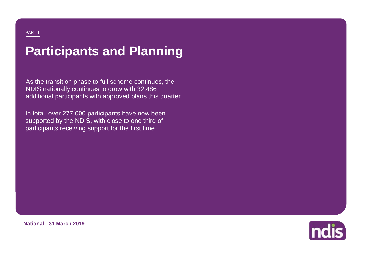# **Participants and Planning**

As the transition phase to full scheme continues, the NDIS nationally continues to grow with 32,486 additional participants with approved plans this quarter.

In total, over 277,000 participants have now been supported by the NDIS, with close to one third of participants receiving support for the first time.



**National - 31 March 2019**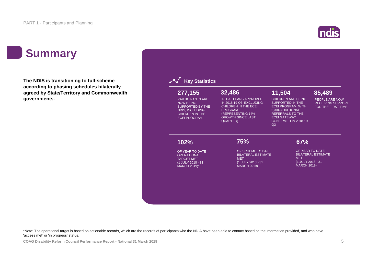### ndis

## **Summary**

**The NDIS is transitioning to full-scheme according to phasing schedules bilaterally agreed by State/Territory and Commonwealth governments.**

| 277,155                                                                                                                                           | 32,486                                                                                                                                                                          | 11,504                                                                                                                                                                                            | 85,489                                                           |
|---------------------------------------------------------------------------------------------------------------------------------------------------|---------------------------------------------------------------------------------------------------------------------------------------------------------------------------------|---------------------------------------------------------------------------------------------------------------------------------------------------------------------------------------------------|------------------------------------------------------------------|
| <b>PARTICIPANTS ARE</b><br><b>NOW BEING</b><br><b>SUPPORTED BY THE</b><br><b>NDIS, INCLUDING</b><br><b>CHILDREN IN THE</b><br><b>ECEI PROGRAM</b> | <b>INITIAL PLANS APPROVED</b><br>IN 2018-19 Q3, EXCLUDING<br><b>CHILDREN IN THE ECEI</b><br><b>PROGRAM</b><br>(REPRESENTING 14%<br><b>GROWTH SINCE LAST</b><br><b>QUARTER</b> ) | <b>CHILDREN ARE BEING</b><br><b>SUPPORTED IN THE</b><br><b>ECEI PROGRAM, WITH</b><br>5,304 ADDITIONAL<br><b>REFERRALS TO THE</b><br><b>ECEI GATEWAY</b><br>CONFIRMED IN 2018-19<br>Q <sub>3</sub> | PEOPLE ARE NOW<br><b>RECEIVING SUPPORT</b><br>FOR THE FIRST TIME |
| 102%                                                                                                                                              | 75%                                                                                                                                                                             | 67%                                                                                                                                                                                               |                                                                  |
| OF YEAR TO DATE<br><b>OPERATIONAL</b>                                                                                                             | OF SCHEME TO DATE<br><b>BILATERAL ESTIMATE</b>                                                                                                                                  | OF YEAR TO DATE                                                                                                                                                                                   | <b>BILATERAL ESTIMATE</b>                                        |
| <b>TARGET MET</b><br>(1 JULY 2018 - 31                                                                                                            | <b>MET</b><br>(1 JULY 2013 - 31                                                                                                                                                 | <b>MET</b><br>(1 JULY 2018 - 31                                                                                                                                                                   |                                                                  |
| MARCH 2019)*                                                                                                                                      | <b>MARCH 2019)</b>                                                                                                                                                              | <b>MARCH 2019)</b>                                                                                                                                                                                |                                                                  |

\*Note: The operational target is based on actionable records, which are the records of participants who the NDIA have been able to contact based on the information provided, and who have 'access met' or 'in progress' status.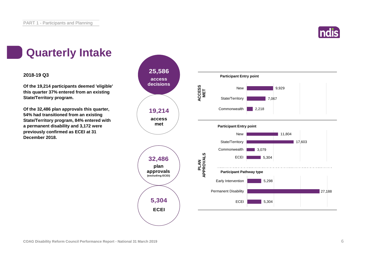

### **Quarterly Intake**

#### **2018-19 Q3**

**Of the 19,214 participants deemed 'eligible' this quarter 37% entered from an existing State/Territory program.**

**Of the 32,486 plan approvals this quarter, 54% had transitioned from an existing State/Territory program, 84% entered with a permanent disability and 3,172 were previously confirmed as ECEI at 31 December 2018.**

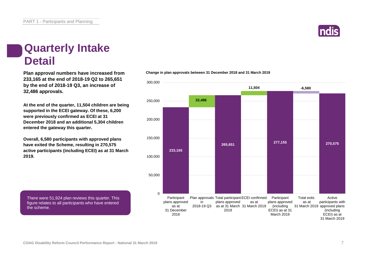## **Quarterly Intake Detail**

**233,165 at the end of 2018-19 Q2 to 265,651 by the end of 2018-19 Q3, an increase of 32,486 approvals.**

**At the end of the quarter, 11,504 children are being supported in the ECEI gateway. Of these, 6,200 were previously confirmed as ECEI at 31 December 2018 and an additional 5,304 children entered the gateway this quarter.**

**Overall, 6,580 participants with approved plans have exited the Scheme, resulting in 270,575 active participants (including ECEI) as at 31 March 2019.**

There were 51,924 plan reviews this quarter. This figure relates to all participants who have entered the scheme.





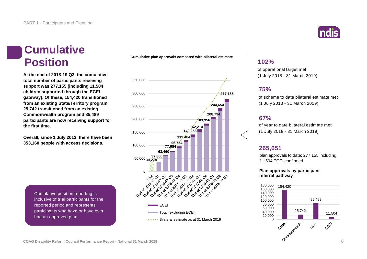#### **Cumulative Position**

**At the end of 2018-19 Q3, the cumulative total number of participants receiving support was 277,155 (including 11,504 children supported through the ECEI gateway). Of these, 154,420 transitioned from an existing State/Territory program, 25,742 transitioned from an existing Commonwealth program and 85,489 participants are now receiving support for the first time.**

**Overall, since 1 July 2013, there have been 353,160 people with access decisions.**

> Cumulative position reporting is inclusive of trial participants for the reported period and represents participants who have or have ever had an approved plan.

**Cumulative plan approvals compared with bilateral estimate**





#### **102%**

of operational target met (1 July 2018 - 31 March 2019)

#### **75%**

of scheme to date bilateral estimate met (1 July 2013 - 31 March 2019)

#### **67%**

of year to date bilateral estimate met (1 July 2018 - 31 March 2019)

#### **265,651**

plan approvals to date; 277,155 including 11,504 ECEI confirmed

#### **Plan approvals by participant referral pathway**

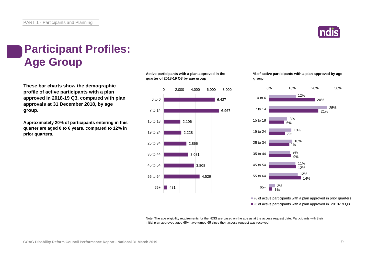

## **Participant Profiles: Age Group**

**These bar charts show the demographic profile of active participants with a plan approved in 2018-19 Q3, compared with plan approvals at 31 December 2018, by age group.**

**Approximately 20% of participants entering in this quarter are aged 0 to 6 years, compared to 12% in prior quarters.**

**Active participants with a plan approved in the quarter of 2018-19 Q3 by age group**



**% of active participants with a plan approved by age group**



■% of active participants with a plan approved in prior quarters ■% of active participants with a plan approved in 2018-19 Q3

Note: The age eligibility requirements for the NDIS are based on the age as at the access request date. Participants with their initial plan approved aged 65+ have turned 65 since their access request was received.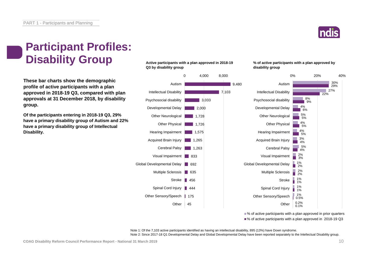

### **Participant Profiles: Disability Group**

**These bar charts show the demographic profile of active participants with a plan approved in 2018-19 Q3, compared with plan approvals at 31 December 2018, by disability group.**

**Of the participants entering in 2018-19 Q3, 29% have a primary disability group of Autism and 22% have a primary disability group of Intellectual Disability.**

**Active participants with a plan approved in 2018-19 Q3 by disability group**



**% of active participants with a plan approved by disability group**



■% of active participants with a plan approved in prior quarters ■% of active participants with a plan approved in 2018-19 Q3

Note 1: Of the 7,103 active participants identified as having an intellectual disability, 895 (13%) have Down syndrome. Note 2: Since 2017-18 Q1 Developmental Delay and Global Developmental Delay have been reported separately to the Intellectual Disability group.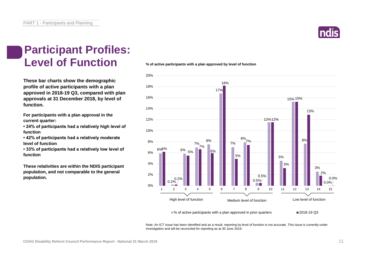

#### **Participant Profiles: Level of Function**

**These bar charts show the demographic profile of active participants with a plan approved in 2018-19 Q3, compared with plan approvals at 31 December 2018, by level of function.**

**For participants with a plan approval in the current quarter:** 

**• 24% of participants had a relatively high level of function**

**• 42% of participants had a relatively moderate level of function** 

**• 33% of participants had a relatively low level of function**

**These relativities are within the NDIS participant population, and not comparable to the general population.**

**% of active participants with a plan approved by level of function**



Note: An ICT issue has been identified and as a result, reporting by level of function is not accurate. This issue is currently under investigation and will be reconciled for reporting as at 30 June 2019.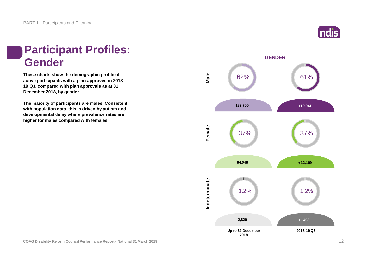## **Participant Profiles: Gender**

**These charts show the demographic profile of active participants with a plan approved in 2018- 19 Q3, compared with plan approvals as at 31 December 2018, by gender.**

**The majority of participants are males. Consistent with population data, this is driven by autism and developmental delay where prevalence rates are higher for males compared with females.**



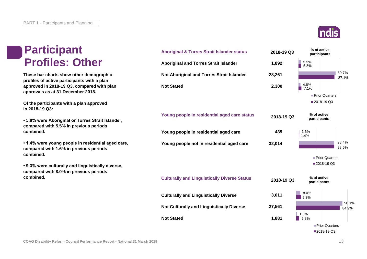#### **Participant Profiles: Other**

**These bar charts show other demographic profiles of active participants with a plan approved in 2018-19 Q3, compared with plan approvals as at 31 December 2018.**

**Of the participants with a plan approved in 2018-19 Q3:**

**• 5.8% were Aboriginal or Torres Strait Islander, compared with 5.5% in previous periods combined.**

**• 1.4% were young people in residential aged care, compared with 1.6% in previous periods combined.**

**• 9.3% were culturally and linguistically diverse, compared with 8.0% in previous periods combined.**



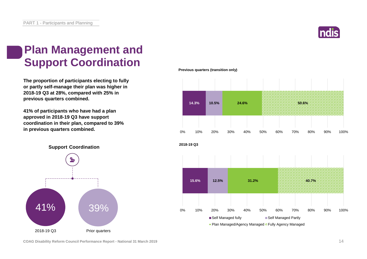

## **Plan Management and Support Coordination**

**The proportion of participants electing to fully or partly self-manage their plan was higher in 2018-19 Q3 at 28%, compared with 25% in previous quarters combined.**

**41% of participants who have had a plan approved in 2018-19 Q3 have support coordination in their plan, compared to 39% in previous quarters combined.**

**Previous quarters (transition only)**



**Support Coordination**



**COAG Disability Reform Council Performance Report - National 31 March 2019** 14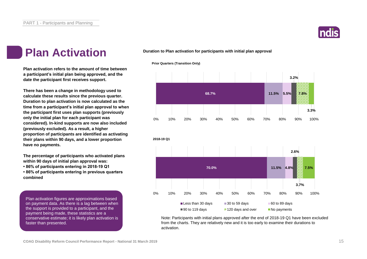

#### **Plan Activation**

**Plan activation refers to the amount of time between a participant's initial plan being approved, and the date the participant first receives support.**

**There has been a change in methodology used to calculate these results since the previous quarter. Duration to plan activation is now calculated as the time from a participant's initial plan approval to when the participant first uses plan supports (previously only the initial plan for each participant was considered). In-kind supports are now also included (previously excluded). As a result, a higher proportion of participants are identified as activating their plans within 90 days, and a lower proportion have no payments.**

**The percentage of participants who activated plans within 90 days of initial plan approval was:** 

**• 86% of participants entering in 2018-19 Q1**

**• 86% of participants entering in previous quarters combined**

Plan activation figures are approximations based on payment data. As there is a lag between when the support is provided to a participant, and the payment being made, these statistics are a conservative estimate; it is likely plan activation is faster than presented.

#### **Duration to Plan activation for participants with initial plan approval**

**Prior Quarters (Transition Only)**





Note: Participants with initial plans approved after the end of 2018-19 Q1 have been excluded from the charts. They are relatively new and it is too early to examine their durations to activation.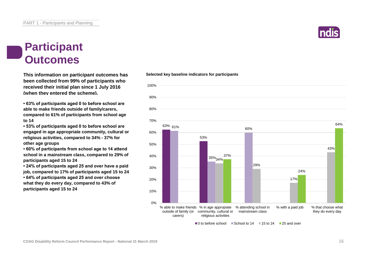

#### **Participant Outcomes**

**This information on participant outcomes has been collected from 99% of participants who received their initial plan since 1 July 2016 (when they entered the scheme).**

**• 63% of participants aged 0 to before school are able to make friends outside of family/carers, compared to 61% of participants from school age to 14**

**• 53% of participants aged 0 to before school are engaged in age appropriate community, cultural or religious activities, compared to 34% - 37% for other age groups**

**• 60% of participants from school age to 14 attend school in a mainstream class, compared to 29% of participants aged 15 to 24**

**• 24% of participants aged 25 and over have a paid job, compared to 17% of participants aged 15 to 24 • 64% of participants aged 25 and over choose what they do every day, compared to 43% of participants aged 15 to 24**

#### **Selected key baseline indicators for participants**



■ 0 to before school ■ School to 14 ■ 15 to 24 ■ 25 and over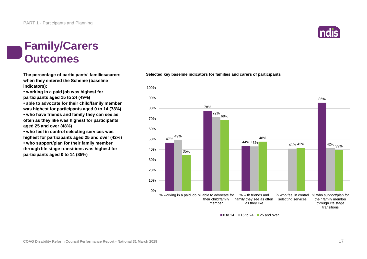#### **Family/Carers Outcomes**

**when they entered the Scheme (baseline indicators):**

**• working in a paid job was highest for participants aged 15 to 24 (49%)**

**• able to advocate for their child/family member was highest for participants aged 0 to 14 (78%)**

**• who have friends and family they can see as often as they like was highest for participants aged 25 and over (48%)**

**• who feel in control selecting services was highest for participants aged 25 and over (42%)**

**• who support/plan for their family member through life stage transitions was highest for participants aged 0 to 14 (85%)**

#### **The percentage of participants' families/carers Selected key baseline indicators for families and carers of participants**



 $\Box$  0 to 14  $\Box$  15 to 24  $\Box$  25 and over

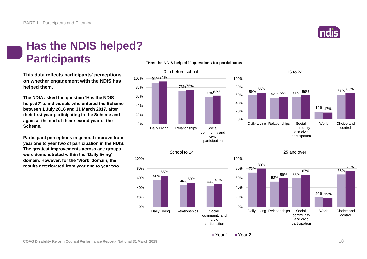

19% 17%

61% 65%

control

Work Choice and

#### **Has the NDIS helped? Participants**

**This data reflects participants' perceptions on whether engagement with the NDIS has helped them.**

**The NDIA asked the question 'Has the NDIS helped?' to individuals who entered the Scheme between 1 July 2016 and 31 March 2017, after their first year participating in the Scheme and again at the end of their second year of the Scheme.**

**Participant perceptions in general improve from year one to year two of participation in the NDIS. The greatest improvements across age groups were demonstrated within the 'Daily living' domain. However, for the 'Work' domain, the results deteriorated from year one to year two.**

#### **"Has the NDIS helped?" questions for participants**







61% 66% 55% 59%

15 to 24

community and civic participation

59% 53% 55%

Daily Living Relationships Social,



Year 1 Year 2

0%

community and civic participation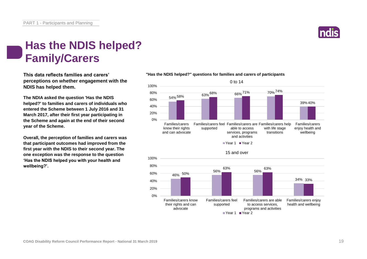

#### **Has the NDIS helped? Family/Carers**

**This data reflects families and carers' perceptions on whether engagement with the NDIS has helped them.**

**The NDIA asked the question 'Has the NDIS helped?' to families and carers of individuals who entered the Scheme between 1 July 2016 and 31 March 2017, after their first year participating in the Scheme and again at the end of their second year of the Scheme.**

**Overall, the perception of families and carers was that participant outcomes had improved from the first year with the NDIS to their second year. The one exception was the response to the question 'Has the NDIS helped you with your health and wellbeing?'.**

#### **"Has the NDIS helped?" questions for families and carers of participants**

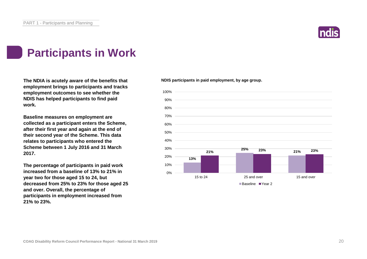

## **Participants in Work**

The NDIA is acutely aware of the benefits that **NETA IS A PROSET AT A PROSET AT A PROSE** The NDIS participants in paid employment, by age group. **employment brings to participants and tracks employment outcomes to see whether the NDIS has helped participants to find paid work.**

**Baseline measures on employment are collected as a participant enters the Scheme, after their first year and again at the end of their second year of the Scheme. This data relates to participants who entered the Scheme between 1 July 2016 and 31 March 2017.**

**The percentage of participants in paid work increased from a baseline of 13% to 21% in year two for those aged 15 to 24, but decreased from 25% to 23% for those aged 25 and over. Overall, the percentage of participants in employment increased from 21% to 23%.**

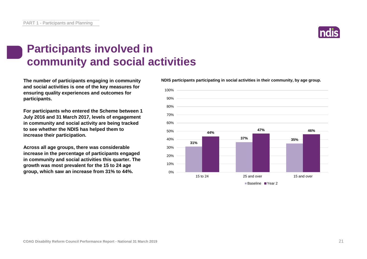## **Participants involved in community and social activities**

**and social activities is one of the key measures for ensuring quality experiences and outcomes for participants.**

**For participants who entered the Scheme between 1 July 2016 and 31 March 2017, levels of engagement in community and social activity are being tracked to see whether the NDIS has helped them to increase their participation.**

**Across all age groups, there was considerable increase in the percentage of participants engaged in community and social activities this quarter. The growth was most prevalent for the 15 to 24 age group, which saw an increase from 31% to 44%.**

**The number of participants engaging in community NDIS participants participating in social activities in their community, by age group.**



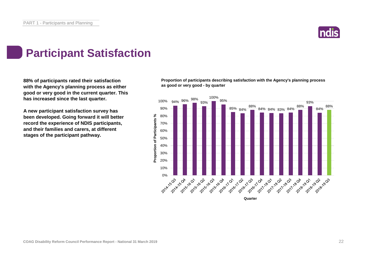

## **Participant Satisfaction**

**88% of participants rated their satisfaction with the Agency's planning process as either good or very good in the current quarter. This has increased since the last quarter.** 

**A new participant satisfaction survey has been developed. Going forward it will better record the experience of NDIS participants, and their families and carers, at different stages of the participant pathway.**

**Proportion of participants describing satisfaction with the Agency's planning process as good or very good - by quarter**

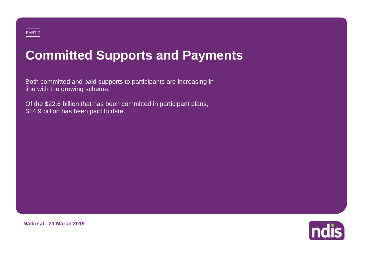# **Committed Supports and Payments**

Both committed and paid supports to participants are increasing in line with the growing scheme.

Of the \$22.6 billion that has been committed in participant plans, \$14.9 billion has been paid to date.



**National - 31 March 2019**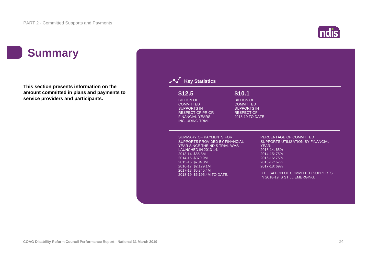#### ndis

## **Summary**

**This section presents information on the amount committed in plans and payments to service providers and participants.**

| \$12.5                                                                                                                                                                                                                | \$10.1                                                                                              |                                                                                                                                                       |
|-----------------------------------------------------------------------------------------------------------------------------------------------------------------------------------------------------------------------|-----------------------------------------------------------------------------------------------------|-------------------------------------------------------------------------------------------------------------------------------------------------------|
| <b>BILLION OF</b><br><b>COMMITTED</b><br><b>SUPPORTS IN</b><br><b>RESPECT OF PRIOR</b><br><b>FINANCIAL YEARS</b><br><b>INCLUDING TRIAL</b>                                                                            | <b>BILLION OF</b><br><b>COMMITTED</b><br><b>SUPPORTS IN</b><br><b>RESPECT OF</b><br>2018-19 TO DATE |                                                                                                                                                       |
| <b>SUMMARY OF PAYMENTS FOR</b><br>SUPPORTS PROVIDED BY FINANCIAL<br>YEAR SINCE THE NDIS TRIAL WAS<br><b>LAUNCHED IN 2013-14:</b><br>2013-14: \$85.8M<br>2014-15: \$370.9M<br>2015-16: \$704.0M<br>2016-17: \$2,179.1M |                                                                                                     | PERCENTAGE OF COMMITTED<br>SUPPORTS UTILISATION BY FINANCIAL<br>YEAR:<br>2013-14: 65%<br>2014-15: 75%<br>2015-16: 75%<br>2016-17: 67%<br>2017-18: 69% |
| 2017-18: \$5,345.4M<br>2018-19: \$6,195.4M TO DATE.                                                                                                                                                                   |                                                                                                     | UTILISATION OF COMMITTED SUPPORTS<br>IN 2018-19 IS STILL EMERGING.                                                                                    |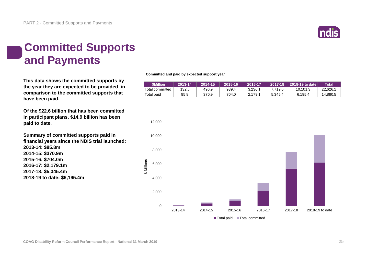

### **Committed Supports and Payments**

**This data shows the committed supports by the year they are expected to be provided, in comparison to the committed supports that have been paid.**

**Of the \$22.6 billion that has been committed in participant plans, \$14.9 billion has been paid to date.**

**Summary of committed supports paid in financial years since the NDIS trial launched: 2013-14: \$85.8m 2014-15: \$370.9m 2015-16: \$704.0m 2016-17: \$2,179.1m 2017-18: \$5,345.4m 2018-19 to date: \$6,195.4m**

**Committed and paid by expected support year**

| <b>SMillion</b> | 2013-14 | 2014-15 | 2015-16 | 2016-17 | $2017 - 18$ | <b>2018-19 to date</b> | Total    |
|-----------------|---------|---------|---------|---------|-------------|------------------------|----------|
| Total committed | 132.8   | 496.9   | 939.4   | 3.236.1 | 7.719.6     | 10.101.3               | 22.626.1 |
| Total paid      | 85.8    | 370.9   | 704.0   | 2.179.1 | 5.345.4     | 6.195.4                | 14,880.5 |

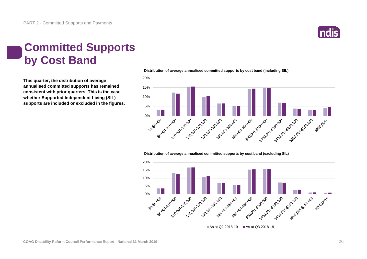

### **Committed Supports by Cost Band**

**This quarter, the distribution of average annualised committed supports has remained consistent with prior quarters. This is the case whether Supported Independent Living (SIL) supports are included or excluded in the figures.**



#### **Distribution of average annualised committed supports by cost band (including SIL)**

#### **Distribution of average annualised committed supports by cost band (excluding SIL)**

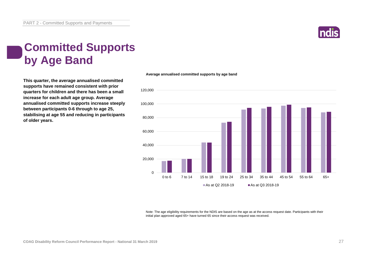

## **Committed Supports by Age Band**

**This quarter, the average annualised committed supports have remained consistent with prior quarters for children and there has been a small increase for each adult age group. Average annualised committed supports increase steeply between participants 0-6 through to age 25, stabilising at age 55 and reducing in participants of older years.**



**Average annualised committed supports by age band**

Note: The age eligibility requirements for the NDIS are based on the age as at the access request date. Participants with their initial plan approved aged 65+ have turned 65 since their access request was received.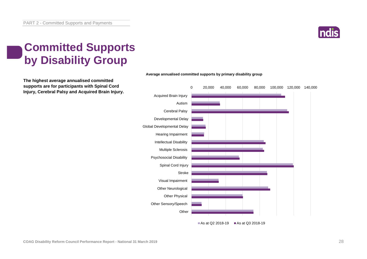

## **Committed Supports by Disability Group**

**The highest average annualised committed supports are for participants with Spinal Cord Injury, Cerebral Palsy and Acquired Brain Injury.**



#### **Average annualised committed supports by primary disability group**

As at Q2 2018-19  $\blacksquare$  As at Q3 2018-19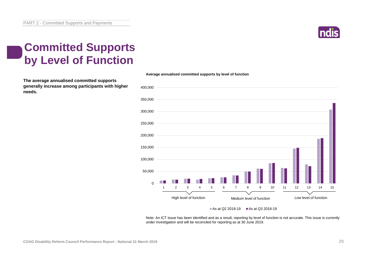

### **Committed Supports by Level of Function**

**The average annualised committed supports generally increase among participants with higher needs.** 



**Average annualised committed supports by level of function**

#### As at Q2 2018-19 As at Q3 2018-19

Note: An ICT issue has been identified and as a result, reporting by level of function is not accurate. This issue is currently under investigation and will be reconciled for reporting as at 30 June 2019.

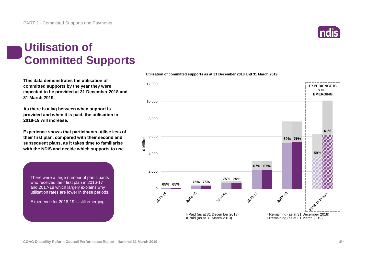

#### **Utilisation of Committed Supports**

**This data demonstrates the utilisation of committed supports by the year they were expected to be provided at 31 December 2018 and 31 March 2019.** 

**As there is a lag between when support is provided and when it is paid, the utilisation in 2018-19 will increase.**

**Experience shows that participants utilise less of their first plan, compared with their second and subsequent plans, as it takes time to familiarise with the NDIS and decide which supports to use.** 

There were a large number of participants who received their first plan in 2016-17 and 2017-18 which largely explains why utilisation rates are lower in these periods.

Experience for 2018-19 is still emerging.



#### **Utilisation of committed supports as at 31 December 2018 and 31 March 2019**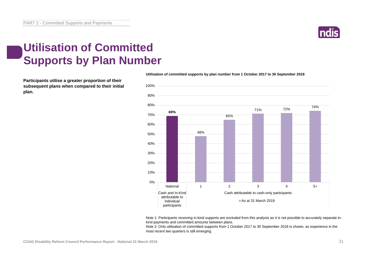

### **Utilisation of Committed Supports by Plan Number**

**Participants utilise a greater proportion of their subsequent plans when compared to their initial plan.** 



**Utilisation of committed supports by plan number from 1 October 2017 to 30 September 2018**

Note 1: Participants receiving in-kind supports are excluded from this analysis as it is not possible to accurately separate inkind payments and committed amounts between plans.

Note 2: Only utilisation of committed supports from 1 October 2017 to 30 September 2018 is shown, as experience in the most recent two quarters is still emerging.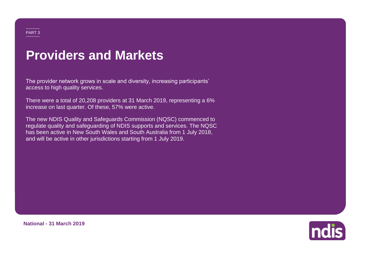# **Providers and Markets**

The provider network grows in scale and diversity, increasing participants' access to high quality services.

There were a total of 20,208 providers at 31 March 2019, representing a 6% increase on last quarter. Of these, 57% were active.

The new NDIS Quality and Safeguards Commission (NQSC) commenced to regulate quality and safeguarding of NDIS supports and services. The NQSC has been active in New South Wales and South Australia from 1 July 2018, and will be active in other jurisdictions starting from 1 July 2019.



**National - 31 March 2019**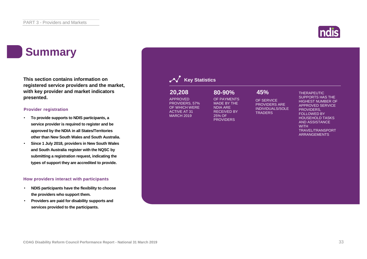#### **Summary**

**This section contains information on registered service providers and the market, with key provider and market indicators presented.**

#### **Provider registration**

- **To provide supports to NDIS participants, a service provider is required to register and be approved by the NDIA in all States/Territories other than New South Wales and South Australia.**
- **Since 1 July 2018, providers in New South Wales and South Australia register with the NQSC by submitting a registration request, indicating the types of support they are accredited to provide.**

#### **How providers interact with participants**

- **NDIS participants have the flexibility to choose the providers who support them.**
- **Providers are paid for disability supports and services provided to the participants.**

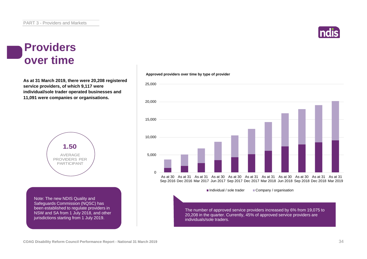

#### **Providers over time**

**As at 31 March 2019, there were 20,208 registered service providers, of which 9,117 were individual/sole trader operated businesses and 11,091 were companies or organisations.**



Note: The new NDIS Quality and Safeguards Commission (NQSC) has been established to regulate providers in NSW and SA from 1 July 2018, and other jurisdictions starting from 1 July 2019.





20,208 in the quarter. Currently, 45% of approved service providers are individuals/sole traders.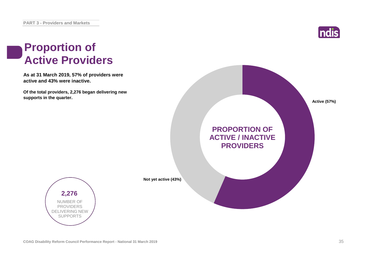

#### **Proportion of Active Providers**

**As at 31 March 2019, 57% of providers were active and 43% were inactive.**

**Of the total providers, 2,276 began delivering new supports in the quarter.**





**Not yet active (43%)**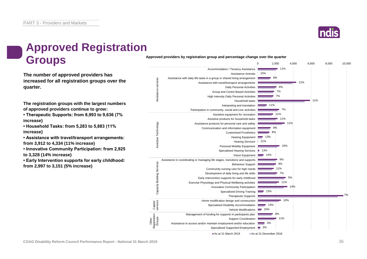

### **Approved Registration Groups**

**The number of approved providers has increased for all registration groups over the quarter.**

**The registration groups with the largest numbers of approved providers continue to grow:**

**• Therapeutic Supports: from 8,993 to 9,636 (7% increase)**

**• Household Tasks: from 5,283 to 5,883 (11% increase)**

**• Assistance with travel/transport arrangements: from 3,912 to 4,334 (11% increase)**

**• Innovative Community Participation: from 2,925 to 3,328 (14% increase)**

**• Early Intervention supports for early childhood: from 2,997 to 3,151 (5% increase)**

**Approved providers by registration group and percentage change over the quarter**

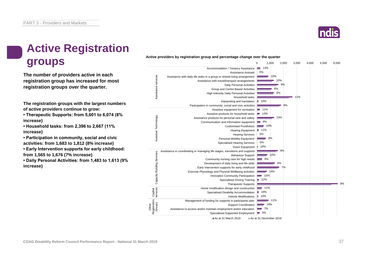

# **Active Registration**  Active providers by registration group and percentage change over the time of the second of the second of the second of the second of the second of the second of the second of the second of the second of the second of the

**The number of providers active in each registration group has increased for most registration groups over the quarter.**

**The registration groups with the largest numbers of active providers continue to grow:**

**• Therapeutic Supports: from 5,601 to 6,074 (8% increase)**

**• Household tasks: from 2,396 to 2,667 (11% increase)**

**• Participation in community, social and civic activities: from 1,683 to 1,812 (8% increase)**

**• Early Intervention supports for early childhood: from 1,565 to 1,676 (7% increase)**

**• Daily Personal Activities: from 1,483 to 1,613 (9% increase)**

#### **Active providers by registration group and percentage change over the quarter**

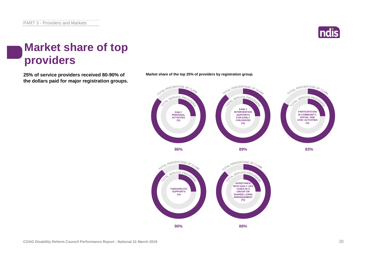

### **Market share of top providers**

**25% of service providers received 80-90% of Market share of the top 25% of providers by registration group. the dollars paid for major registration groups.**



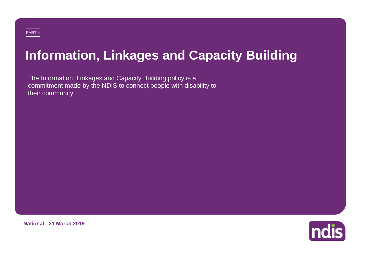# **Information, Linkages and Capacity Building**

The Information, Linkages and Capacity Building policy is a commitment made by the NDIS to connect people with disability to their community.



**National - 31 March 2019**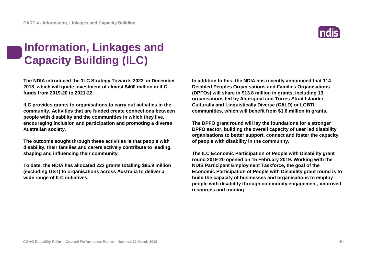## **Information, Linkages and Capacity Building (ILC)**

**The NDIA introduced the 'ILC Strategy Towards 2022' in December 2018, which will guide investment of almost \$400 million in ILC funds from 2019-20 to 2021-22.**

**ILC provides grants to organisations to carry out activities in the community. Activities that are funded create connections between people with disability and the communities in which they live, encouraging inclusion and participation and promoting a diverse Australian society.**

**The outcome sought through these activities is that people with disability, their families and carers actively contribute to leading, shaping and influencing their community.** 

**To date, the NDIA has allocated 222 grants totalling \$85.9 million (excluding GST) to organisations across Australia to deliver a wide range of ILC initiatives.**

**In addition to this, the NDIA has recently announced that 114 Disabled Peoples Organisations and Families Organisations (DPFOs) will share in \$13.8 million in grants, including 13 organisations led by Aboriginal and Torres Strait Islander, Culturally and Linguistically Diverse (CALD) or LGBTI communities, which will benefit from \$1.6 million in grants.**

**The DPFO grant round will lay the foundations for a stronger DPFO sector, building the overall capacity of user led disability organisations to better support, connect and foster the capacity of people with disability in the community.**

**The ILC Economic Participation of People with Disability grant round 2019-20 opened on 15 February 2019. Working with the NDIS Participant Employment Taskforce, the goal of the Economic Participation of People with Disability grant round is to build the capacity of businesses and organisations to employ people with disability through community engagement, improved resources and training.**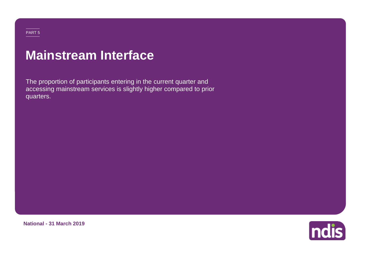## **Mainstream Interface**

The proportion of participants entering in the current quarter and accessing mainstream services is slightly higher compared to prior quarters.

**National - 31 March 2019**

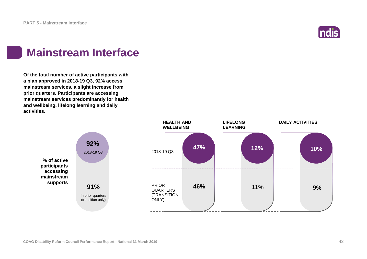

### **Mainstream Interface**

**Of the total number of active participants with a plan approved in 2018-19 Q3, 92% access mainstream services, a slight increase from prior quarters. Participants are accessing mainstream services predominantly for health and wellbeing, lifelong learning and daily activities.**

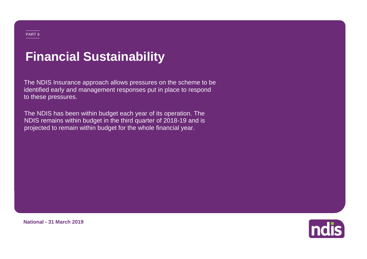# **Financial Sustainability**

The NDIS Insurance approach allows pressures on the scheme to be identified early and management responses put in place to respond to these pressures.

The NDIS has been within budget each year of its operation. The NDIS remains within budget in the third quarter of 2018-19 and is projected to remain within budget for the whole financial year.



**National - 31 March 2019**